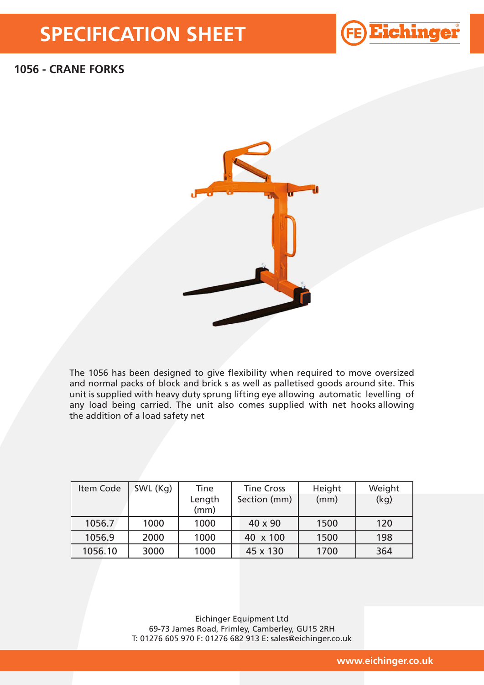## **SPECIFICATION SHEET**



## **1056 - CRANE FORKS**



The 1056 has been designed to give flexibility when required to move oversized and normal packs of block and brick s as well as palletised goods around site. This unit is supplied with heavy duty sprung lifting eye allowing automatic levelling of any load being carried. The unit also comes supplied with net hooks allowing the addition of a load safety net

| Item Code | SWL (Kg) | <b>Tine</b>    | <b>Tine Cross</b> | Height | Weight |
|-----------|----------|----------------|-------------------|--------|--------|
|           |          | Length<br>(mm) | Section (mm)      | (mm)   | (kq)   |
| 1056.7    | 1000     | 1000           | 40 x 90           | 1500   | 120    |
| 1056.9    | 2000     | 1000           | 40 x 100          | 1500   | 198    |
| 1056.10   | 3000     | 1000           | 45 x 130          | 1700   | 364    |

Eichinger Equipment Ltd 69-73 James Road, Frimley, Camberley, GU15 2RH T: 01276 605 970 F: 01276 682 913 E: sales@eichinger.co.uk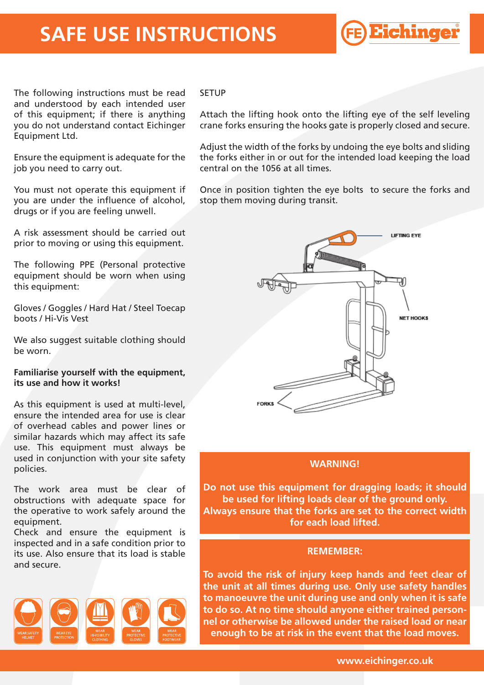## **SAFE USE INSTRUCTIONS**

®

The following instructions must be read and understood by each intended user of this equipment; if there is anything you do not understand contact Eichinger Equipment Ltd.

Ensure the equipment is adequate for the job you need to carry out.

You must not operate this equipment if you are under the influence of alcohol, drugs or if you are feeling unwell.

A risk assessment should be carried out prior to moving or using this equipment.

The following PPE (Personal protective equipment should be worn when using this equipment:

Gloves / Goggles / Hard Hat / Steel Toecap boots / Hi-Vis Vest

We also suggest suitable clothing should be worn.

## **Familiarise yourself with the equipment, its use and how it works!**

As this equipment is used at multi-level, ensure the intended area for use is clear of overhead cables and power lines or similar hazards which may affect its safe use. This equipment must always be used in conjunction with your site safety policies.

The work area must be clear of obstructions with adequate space for the operative to work safely around the equipment.

Check and ensure the equipment is inspected and in a safe condition prior to its use. Also ensure that its load is stable and secure.



### **SETUP**

Attach the lifting hook onto the lifting eye of the self leveling crane forks ensuring the hooks gate is properly closed and secure.

Adjust the width of the forks by undoing the eye bolts and sliding the forks either in or out for the intended load keeping the load central on the 1056 at all times.

Once in position tighten the eye bolts to secure the forks and stop them moving during transit.



## **WARNING!**

**Do not use this equipment for dragging loads; it should be used for lifting loads clear of the ground only. Always ensure that the forks are set to the correct width for each load lifted.**

#### **REMEMBER:**

**To avoid the risk of injury keep hands and feet clear of the unit at all times during use. Only use safety handles to manoeuvre the unit during use and only when it is safe to do so. At no time should anyone either trained personnel or otherwise be allowed under the raised load or near enough to be at risk in the event that the load moves.**